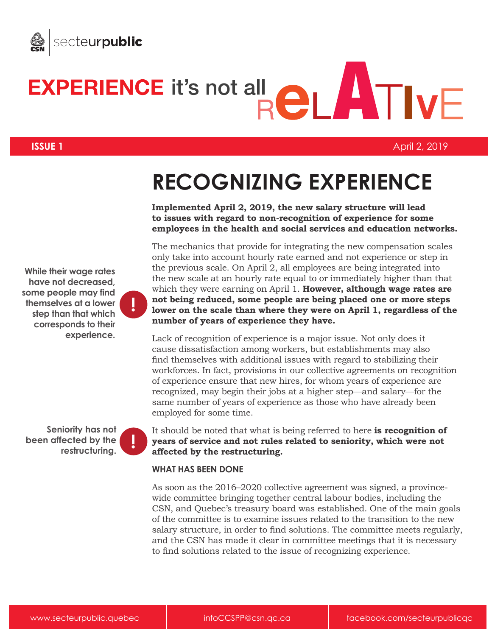



**ISSUE 1** April 2, 2019

## **RECOGNIZING EXPERIENCE**

**Implemented April 2, 2019, the new salary structure will lead to issues with regard to non-recognition of experience for some employees in the health and social services and education networks.**

The mechanics that provide for integrating the new compensation scales only take into account hourly rate earned and not experience or step in the previous scale. On April 2, all employees are being integrated into the new scale at an hourly rate equal to or immediately higher than that which they were earning on April 1. **However, although wage rates are not being reduced, some people are being placed one or more steps lower on the scale than where they were on April 1, regardless of the number of years of experience they have.**

Lack of recognition of experience is a major issue. Not only does it cause dissatisfaction among workers, but establishments may also find themselves with additional issues with regard to stabilizing their workforces. In fact, provisions in our collective agreements on recognition of experience ensure that new hires, for whom years of experience are recognized, may begin their jobs at a higher step—and salary—for the same number of years of experience as those who have already been employed for some time.

It should be noted that what is being referred to here **is recognition of years of service and not rules related to seniority, which were not affected by the restructuring.**

## **WHAT HAS BEEN DONE**

As soon as the 2016–2020 collective agreement was signed, a provincewide committee bringing together central labour bodies, including the CSN, and Quebec's treasury board was established. One of the main goals of the committee is to examine issues related to the transition to the new salary structure, in order to find solutions. The committee meets regularly, and the CSN has made it clear in committee meetings that it is necessary to find solutions related to the issue of recognizing experience.

**While their wage rates have not decreased, some people may find themselves at a lower step than that which corresponds to their experience.**

**!**

**Seniority has not been affected by the restructuring. !**